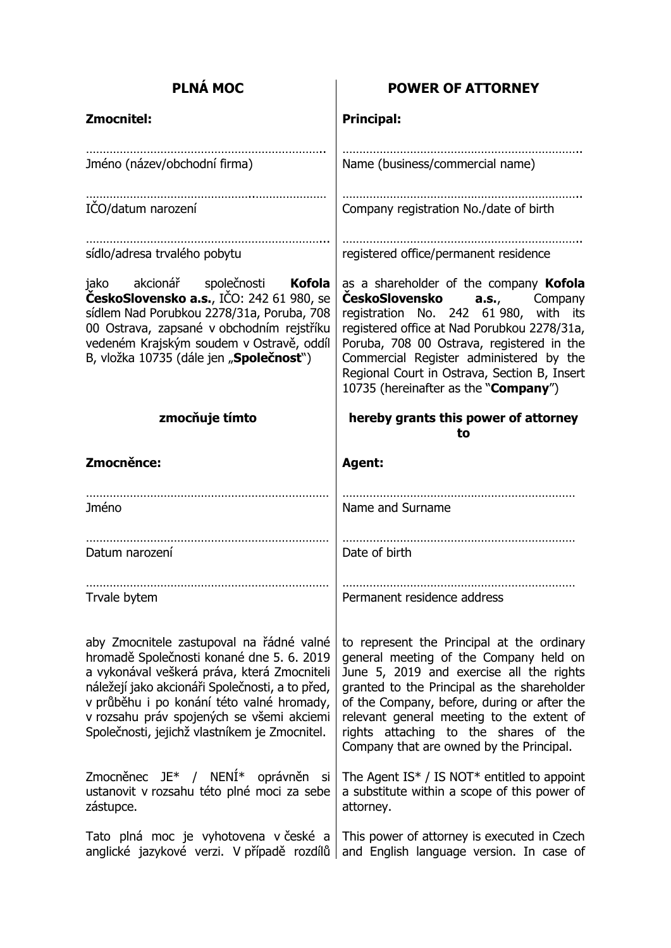| <b>PLNÁ MOC</b>                                                                                                                                                                                                                                                                                                                    | <b>POWER OF ATTORNEY</b>                                                                                                                                                                                                                                                                                                                                         |
|------------------------------------------------------------------------------------------------------------------------------------------------------------------------------------------------------------------------------------------------------------------------------------------------------------------------------------|------------------------------------------------------------------------------------------------------------------------------------------------------------------------------------------------------------------------------------------------------------------------------------------------------------------------------------------------------------------|
| <b>Zmocnitel:</b>                                                                                                                                                                                                                                                                                                                  | <b>Principal:</b>                                                                                                                                                                                                                                                                                                                                                |
| Jméno (název/obchodní firma)                                                                                                                                                                                                                                                                                                       | Name (business/commercial name)                                                                                                                                                                                                                                                                                                                                  |
| ICO/datum narození                                                                                                                                                                                                                                                                                                                 | Company registration No./date of birth                                                                                                                                                                                                                                                                                                                           |
| sídlo/adresa trvalého pobytu                                                                                                                                                                                                                                                                                                       | registered office/permanent residence                                                                                                                                                                                                                                                                                                                            |
| jako akcionář společnosti <b>Kofola</b><br>ČeskoSlovensko a.s., IČO: 242 61 980, se<br>sídlem Nad Porubkou 2278/31a, Poruba, 708<br>00 Ostrava, zapsané v obchodním rejstříku<br>vedeném Krajským soudem v Ostravě, oddíl<br>B, vložka 10735 (dále jen "Společnosť")                                                               | as a shareholder of the company Kofola<br><b>ČeskoSlovensko</b><br>a.s.,<br>Company<br>registration No. 242 61 980, with its<br>registered office at Nad Porubkou 2278/31a,<br>Poruba, 708 00 Ostrava, registered in the<br>Commercial Register administered by the<br>Regional Court in Ostrava, Section B, Insert<br>10735 (hereinafter as the "Company")      |
| zmocňuje tímto                                                                                                                                                                                                                                                                                                                     | hereby grants this power of attorney<br>to                                                                                                                                                                                                                                                                                                                       |
| Zmocněnce:                                                                                                                                                                                                                                                                                                                         | <b>Agent:</b>                                                                                                                                                                                                                                                                                                                                                    |
| <b>Jméno</b>                                                                                                                                                                                                                                                                                                                       | Name and Surname                                                                                                                                                                                                                                                                                                                                                 |
| Datum narození                                                                                                                                                                                                                                                                                                                     | Date of birth                                                                                                                                                                                                                                                                                                                                                    |
| Trvale bytem                                                                                                                                                                                                                                                                                                                       | Permanent residence address                                                                                                                                                                                                                                                                                                                                      |
| aby Zmocnitele zastupoval na řádné valné<br>hromadě Společnosti konané dne 5. 6. 2019<br>a vykonával veškerá práva, která Zmocniteli<br>náležejí jako akcionáři Společnosti, a to před,<br>v průběhu i po konání této valné hromady,<br>v rozsahu práv spojených se všemi akciemi<br>Společnosti, jejichž vlastníkem je Zmocnitel. | to represent the Principal at the ordinary<br>general meeting of the Company held on<br>June 5, 2019 and exercise all the rights<br>granted to the Principal as the shareholder<br>of the Company, before, during or after the<br>relevant general meeting to the extent of<br>rights attaching to the shares of the<br>Company that are owned by the Principal. |
| Zmocněnec JE* / NENÍ* oprávněn<br>si<br>ustanovit v rozsahu této plné moci za sebe<br>zástupce.                                                                                                                                                                                                                                    | The Agent IS* / IS NOT* entitled to appoint<br>a substitute within a scope of this power of<br>attorney.                                                                                                                                                                                                                                                         |
| Tato plná moc je vyhotovena v české a<br>anglické jazykové verzi. V případě rozdílů                                                                                                                                                                                                                                                | This power of attorney is executed in Czech<br>and English language version. In case of                                                                                                                                                                                                                                                                          |